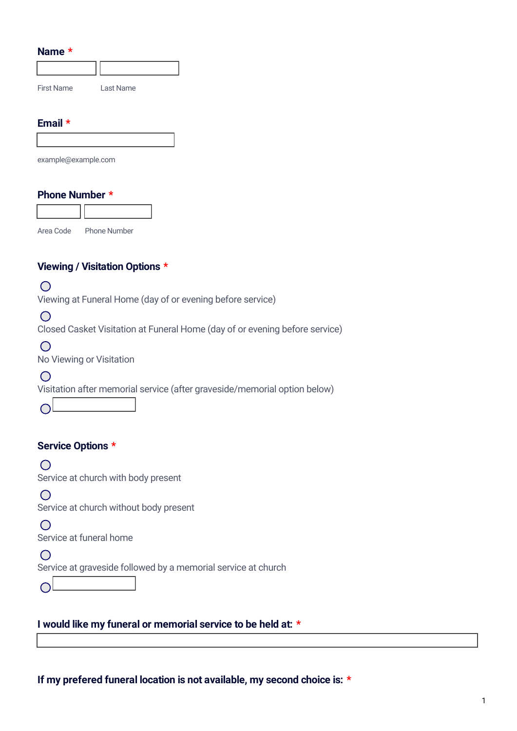| <b>Name</b> |  |
|-------------|--|
|-------------|--|

 $\bigcap$ 

| Name *                                                                                    |
|-------------------------------------------------------------------------------------------|
|                                                                                           |
| <b>First Name</b><br>Last Name                                                            |
| Email *                                                                                   |
|                                                                                           |
| example@example.com                                                                       |
| <b>Phone Number *</b>                                                                     |
|                                                                                           |
| <b>Phone Number</b><br>Area Code                                                          |
| Viewing / Visitation Options *                                                            |
|                                                                                           |
| Viewing at Funeral Home (day of or evening before service)                                |
| $\bigcirc$<br>Closed Casket Visitation at Funeral Home (day of or evening before service) |
|                                                                                           |
| No Viewing or Visitation                                                                  |
|                                                                                           |
| Visitation after memorial service (after graveside/memorial option below)                 |
|                                                                                           |
| <b>Service Options *</b>                                                                  |
|                                                                                           |
| Service at church with body present                                                       |
|                                                                                           |
| Service at church without body present                                                    |
| Service at funeral home                                                                   |

 $\bigcirc$ Service at graveside followed by a memorial service at church

**I would like my funeral or memorial service to be held at: \***

**If my prefered funeral location is not available, my second choice is: \***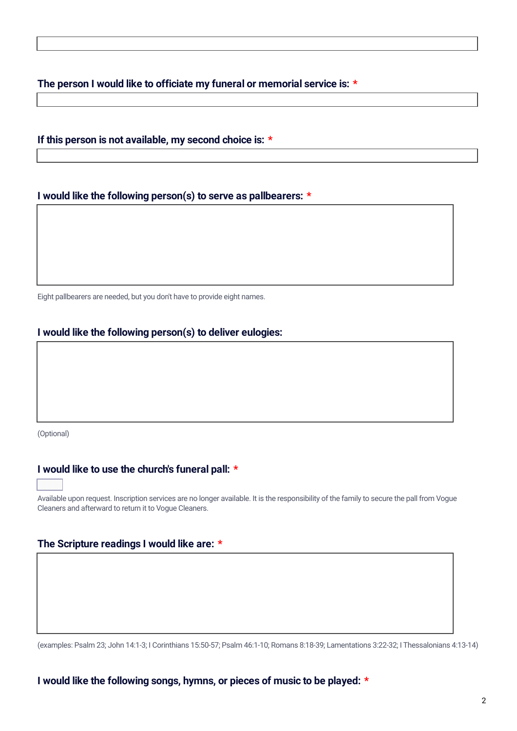**The person I would like to officiate my funeral or memorial service is: \***

### **If this person is not available, my second choice is: \***

### **I would like the following person(s) to serve as pallbearers: \***

Eight pallbearers are needed, but you don't have to provide eight names.

### **I would like the following person(s) to deliver eulogies:**

(Optional)

### **I would like to use the church's funeral pall: \***

Available upon request. Inscription services are no longer available. It is the responsibility of the family to secure the pall from Vogue Cleaners and afterward to return it to Vogue Cleaners.

#### **The Scripture readings I would like are: \***

(examples: Psalm 23; John 14:1-3; I Corinthians 15:50-57; Psalm 46:1-10; Romans 8:18-39; Lamentations 3:22-32; I Thessalonians 4:13-14)

#### **I would like the following songs, hymns, or pieces of music to be played: \***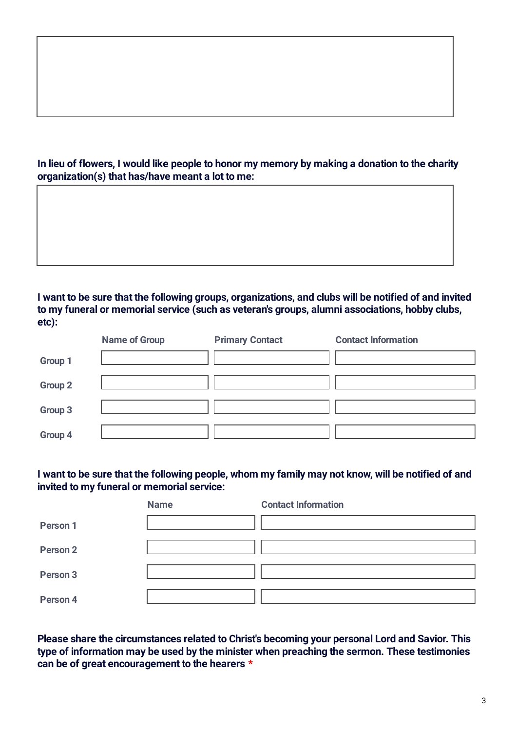## In lieu of flowers, I would like people to honor my memory by making a donation to the charity **organization(s) that has/have meant a lot to me:**

### I want to be sure that the following groups, organizations, and clubs will be notified of and invited **to my funeral or memorial service (such as veteran's groups, alumni associations, hobby clubs, etc):**

|                | <b>Name of Group</b> | <b>Primary Contact</b> | <b>Contact Information</b> |
|----------------|----------------------|------------------------|----------------------------|
| Group 1        |                      |                        |                            |
| <b>Group 2</b> |                      |                        |                            |
| Group 3        |                      |                        |                            |
| Group 4        |                      |                        |                            |

## I want to be sure that the following people, whom my family may not know, will be notified of and **invited to my funeral or memorial service:**

|                     | <b>Name</b> | <b>Contact Information</b> |
|---------------------|-------------|----------------------------|
| Person 1            |             |                            |
| Person <sub>2</sub> |             |                            |
| Person 3            |             |                            |
| Person 4            |             |                            |

**Please share the circumstances related to Christ's becoming your personal Lord and Savior. This type of information may be used by the minister when preaching the sermon. These testimonies can be of great encouragement to the hearers \***